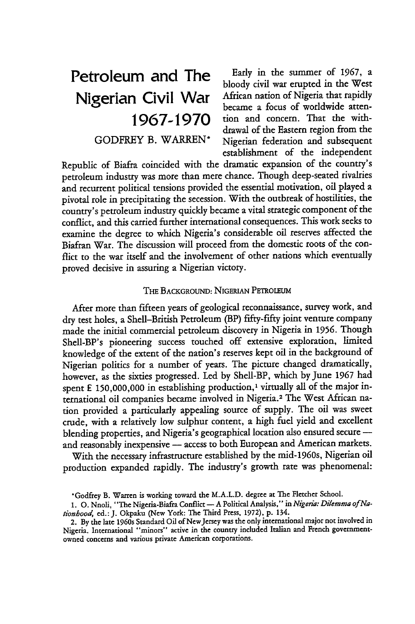**Petroleum and The Early in the summer of 1967, a** bloody civil war erupted in the West Nigerian Civil War African nation of Nigeria that rapidly became a focus of worldwide atten-**1967-1970** tion and concern. That the withdrawal of the Eastern region from the GODFREY B. WARREN\* Nigerian federation and subsequent establishment of the independent

Republic of Biafra coincided with the dramatic expansion of the country's petroleum industry was more than mere chance. Though deep-seated rivalries and recurrent political tensions provided the essential motivation, oil played a pivotal role in precipitating the secession. With the outbreak of hostilities, the country's petroleum industry quickly became a vital strategic component of the conflict, and this carried further international consequences. This work seeks to examine the degree to which Nigeria's considerable oil reserves affected the Biafran War. The discussion will proceed from the domestic roots of the conflict to the war itself and the involvement of other nations which eventually proved decisive in assuring a Nigerian victory.

# THE BACKGROUND: NIGERIAN PETROLEUM

After more than fifteen years of geological reconnaissance, survey work, and dry test holes, a Shell-British Petroleum (BP) fifty-fifty joint venture company made the initial commercial petroleum discovery in Nigeria in 1956. Though Shell-BP's pioneering success touched off extensive exploration, limited knowledge of the extent of the nation's reserves kept oil in the background of Nigerian politics for a number of years. The picture changed dramatically, however, as the sixties progressed. Led **by** Shell-BP, which by June 1967 had spent  $E$  150,000,000 in establishing production,<sup>1</sup> virtually all of the major international oil companies became involved in Nigeria.2 The West African nation provided a particularly appealing source of supply. The oil was sweet crude, with a relatively low sulphur content, a high fuel yield and excellent blending properties, and Nigeria's geographical location also ensured secure and reasonably inexpensive - access to both European and American markets.

With the necessary infrastructure established by the mid-1960s, Nigerian oil production expanded rapidly. The industry's growth rate was phenomenal:

<sup>\*</sup>Godfrey B. Warren is working toward the M.A.L.D. degree at The Fletcher School.

**<sup>1. 0.</sup>** Nnoli, "The Nigeria-Biafra Conflict **-** A Political Analysis," in *Nigeria: Dilemma of Nationhood,* ed.: **J.** Okpaku (New York: The Third Press, 1972). p. 134.

<sup>2.</sup> By the late 1960s Standard Oil of NewJersey was the only international major not involved in Nigeria. International "minors" active in the country included Italian and French governmentowned concerns and various private American corporations.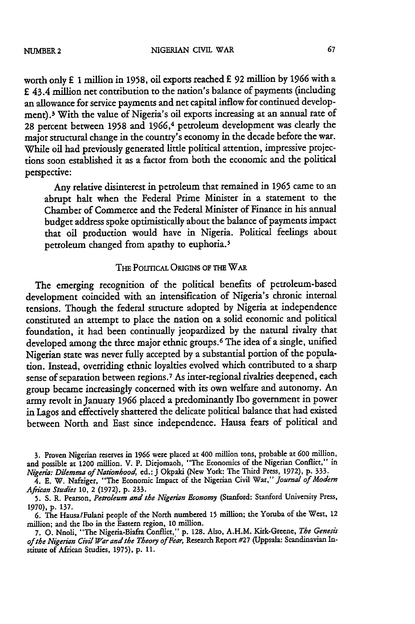NIGERIAN CIVIL WAR

worth only £ **1** million in 1958, oil exports reached **£** 92 million by 1966 with a **E** 43.4 million net contribution to the nation's balance of payments (including an allowance for service payments and net capital inflow for continued development).3 With the value of Nigeria's oil exports increasing at an annual rate of **28** percent between 1958 and 1966, 4 petroleum development was dearly the major structural change in the country's economy in the decade before the war. While oil had previously generated little political attention, impressive projections soon established it as a factor from both the economic and the political perspective:

Any relative disinterest in petroleum that remained in 1965 came to an abrupt halt when the Federal Prime Minister in a statement to the Chamber of Commerce and the Federal Minister of Finance in his annual budget address spoke optimistically about the balance of payments impact that oil production would have in Nigeria. Political feelings about petroleum changed from apathy to euphoria. <sup>5</sup>

# THE POLITICAL ORIGINS OF THE WAR

The emerging recognition of the political benefits of petroleum-based development coincided with an intensification of Nigeria's chronic internal tensions. Though the federal structure adopted by Nigeria at independence constituted an attempt to place the nation on a solid economic and political foundation, it had been continually jeopardized **by** the natural rivalry that developed among the three major ethnic groups.<sup>6</sup> The idea of a single, unified Nigerian state was never fully accepted **by** a substantial portion of the population. Instead, overriding ethnic loyalties evolved which contributed to a sharp sense of separation between regions.7 As inter-regional rivalries deepened, each group became increasingly concerned with its own welfare and autonomy. An army revolt in January 1966 placed a predominantly Ibo government in power in Lagos and effectively shattered the delicate political balance that had existed between North and East since independence. Hausa fears of political and

**<sup>3.</sup>** Proven Nigerian reserves in 1966 were placed at 400 million tons, probable at 600 million, and possible at 1200 million. V. P. Diejomaoh, "The Economics of the Nigerian Conflict," in *Nigeria: Dilemma ofNationhood,* ed.: J Okpaki (New York: The Third Press, 1972), **p.** 333.

<sup>4.</sup> E. **W.** Nafziger, "The Economic Impact of the Nigerian Civil War," *Journal of Modern African* Studies 10, 2 (1972), **p. 233.**

**<sup>5.</sup> S.** R. Pearson, *Petroleum and the Nigerian Economy* (Stanford: Stanford University Press, 1970), **p.** 137.

<sup>6.</sup> The Hausa/Fulani people of the North numbered 15 million; the Yoruba of the West, 12 million; and the Ibo in the Eastern region, 10 million.

<sup>7.</sup> **0.** Nnoli, "The Nigeria-Biafra Conflict," **p.** 128. Also, A.H.M. Kirk-Greene, *The Genesir of the Nigerian Civil War and the Theory of Fear,* Research Report #27 (Uppsala: Scandinavian Institute of African Studies, 1975), **p. 11.**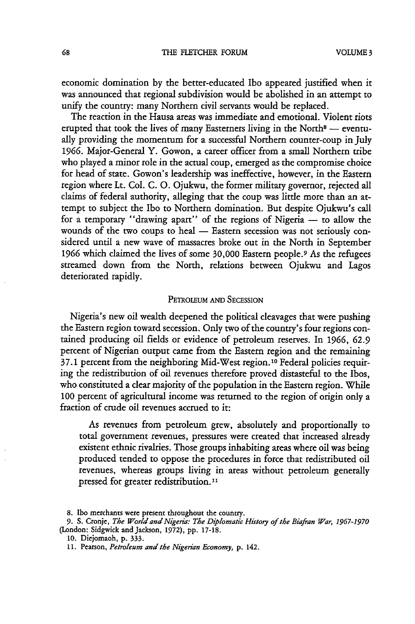economic domination by the better-educated Ibo appeared justified when it was announced that regional subdivision would be abolished in an attempt to unify the country: many Northern civil servants would be replaced.

The reaction in the Hausa areas was immediate and emotional. Violent riots erupted that took the lives of many Easterners living in the North<sup>8</sup> — eventually providing the momentum for a successful Northern counter-coup in July **1966.** Major-General Y. Gowon, a career officer from a small Northern tribe who played a minor role in the actual coup, emerged as the compromise choice for head of state. Gowon's leadership was ineffective, however, in the Eastern region where Lt. Col. C. **0.** Ojukwu, the former military governor, rejected all claims of federal authority, alleging that the coup was little more than an attempt to subject the Ibo to Northern domination. But despite Ojukwu's call for a temporary "drawing apart" of the regions of Nigeria **-** to allow the wounds of the two coups to heal - Eastern secession was not seriously considered until a new wave of massacres broke out in the North in September **1966** which claimed the lives of some 30,000 Eastern people.9 As the refugees streamed down from the North, relations between Ojukwu and Lagos deteriorated rapidly.

## PETROLEUM AND SECESSION

Nigeria's new oil wealth deepened the political cleavages that were pushing the Eastern region toward secession. Only two of the country's four regions contained producing oil fields or evidence of petroleum reserves. In **1966,** 62.9 percent of Nigerian output came from the Eastern region and the remaining 37.1 percent from the neighboring Mid-West region.<sup>10</sup> Federal policies requiring the redistribution of oil revenues therefore proved distasteful to the Ibos, who constituted a clear majority of the population in the Eastern region. While 100 percent of agricultural income was returned to the region of origin only a fraction of crude oil revenues accrued to it:

As revenues from petroleum grew, absolutely and proportionally to total government revenues, pressures were created that increased already existent ethnic rivalries. Those groups inhabiting areas where oil was being produced tended to oppose the procedures in force that redistributed oil revenues, whereas groups living in areas without petroleum generally pressed for greater redistribution.<sup>11</sup>

<sup>8.</sup> **Ibo** merchants were present throughout the country.

**<sup>9.</sup>** S. Cronje, *The World and Nigeria: The Diplomatic History of the Biafran War, 1967-1970* (London: Sidgwick and Jackson, 1972), pp. 17-18.

**<sup>10.</sup>** Diejomaoh, p. 333.

<sup>11.</sup> Pearson, *Petroleum and the Nigerian Economy,* p. 142.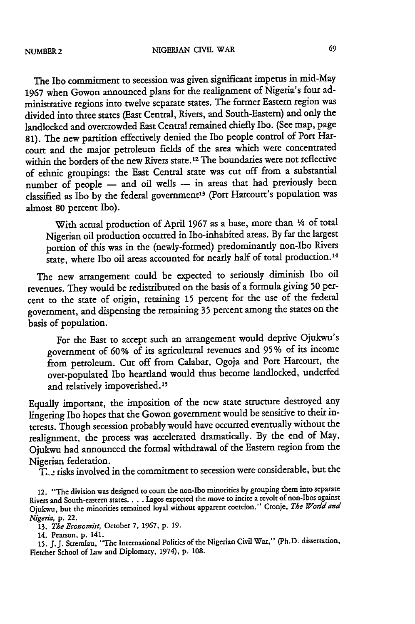The Ibo commitment to secession was given significant impetus in mid-May **1967** when Gowon announced plans for the realignment of Nigeria's four administrative regions into twelve separate states. The former Eastern region was divided into three states (East Central, Rivers, and South-Eastern) and only the landlocked and overcrowded East Central remained chiefly Ibo. (See map, page 81). The new partition effectively denied the Ibo people control of Port Harcourt and the major petroleum fields of the area which were concentrated within the borders of the new Rivers state. 12 The boundaries were not reflective of ethnic groupings: the East Central state was cut off from a substantial number of people - and oil wells - in areas that had previously been classified as Ibo by the federal government<sup>13</sup> (Port Harcourt's population was almost **80** percent Ibo).

With actual production of April 1967 as a base, more than *1/4* of total Nigerian oil production occurred in Ibo-inhabited areas. By far the largest portion of this was in the (newly-formed) predominantly non-Ibo Rivers state, where Ibo oil areas accounted for nearly half of total production.<sup>14</sup>

The new arrangement could be expected to seriously diminish Ibo oil revenues. They would be redistributed on the basis of a formula giving **50** percent to the state of origin, retaining 15 percent for the use of the federal government, and dispensing the remaining 35 percent among the states on the basis of population.

For the East to accept such an arrangement would deprive Ojukwu's government of **60%** of its agricultural revenues and **95%** of its income from petroleum. Cut off from Calabar, Ogoja and Port Harcourt, the over-populated Ibo heartland would thus become landlocked, underfed and relatively impoverished.<sup>1</sup>

Equally important, the imposition of the new state structure destroyed any lingering Ibo hopes that the Gowon government would be sensitive to their interests. Though secession probably would have occurred eventually without the realignment, the process was accelerated dramatically. By the end of May, Ojukwu had announced the formal withdrawal of the Eastern region from the Nigerian federation.

 $\bar{T}_{\cdot,\cdot}$  risks involved in the commitment to secession were considerable, but the

12. "The division was designed to court the non-Ibo minorities by grouping them into separate Rivers and South-eastern states.. .. Lagos expected the move to incite a revolt of non-Ibos against Ojukwu, but the minorities remained loyal without apparent coercion." Cronje, *The World and Nigeria,* p. 22.

13. *The Economist,* October **7, 1967,** p. **19.**

14. Pearson, p. 141.

15. J.J. Stremlau, "The International Politics of the Nigerian Civil War," (Ph.D. dissertation, Fletcher School of Law and Diplomacy, 1974), p. 108.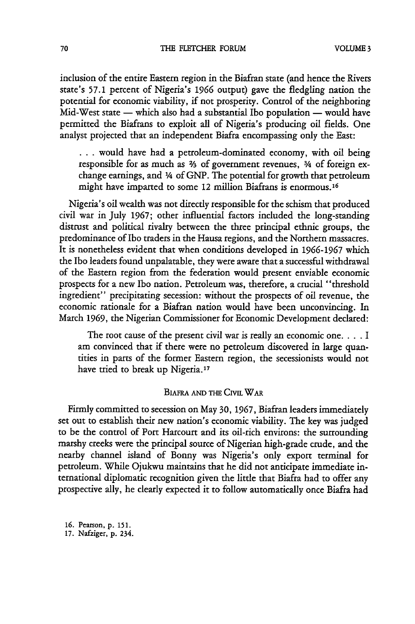inclusion of the entire Eastern region in the Biafran state (and hence the Rivers state's 57.1 percent of Nigeria's **1966** output) gave the fledgling nation the potential for economic viability, if not prosperity. Control of the neighboring Mid-West state **-** which also had a substantial Ibo population **-** would have permitted the Biafrans to exploit all of Nigeria's producing oil fields. One analyst projected that an independent Biafra encompassing only the East:

**...** would have had a petroleum-dominated economy, with oil being responsible for as much as  $\frac{2}{3}$  of government revenues,  $\frac{3}{4}$  of foreign exchange earnings, and *1/4* of GNP. The potential for growth that petroleum might have imparted to some 12 million Biafrans is enormous. <sup>16</sup>

Nigeria's oil wealth was not directly responsible for the schism that produced civil war in July 1967; other influential factors included the long-standing distrust and political rivalry between the three principal ethnic groups, the predominance of Ibo traders in the Hausa regions, and the Northern massacres. It is nonetheless evident that when conditions developed in 1966-1967 which the Ibo leaders found unpalatable, they were aware that a successful withdrawal of the Eastern region from the federation would present enviable economic prospects for a new Ibo nation. Petroleum was, therefore, a crucial "threshold ingredient" precipitating secession: without the prospects of oil revenue, the economic rationale for a Biafran nation would have been unconvincing. In March **1969,** the Nigerian Commissioner for Economic Development declared:

The root cause of the present civil war is really an economic one **....** I am convinced that if there were no petroleum discovered in large quantities in parts of the former Eastern region, the secessionists would not have tried to break up Nigeria.<sup>17</sup>

# BIAFRA AND THE CIVIL WAR

Firmly committed to secession on May 30, 1967, Biafran leaders immediately set out to establish their new nation's economic viability. The key was judged to be the control of Port Harcourt and its oil-rich environs: the surrounding marshy creeks were the principal source of Nigerian high-grade crude, and the nearby channel island of Bonny was Nigeria's only export terminal for petroleum. While Ojukwu maintains that he did not anticipate immediate international diplomatic recognition given the little that Biafra had to offer any prospective ally, he clearly expected it to follow automatically once Biafra had

**16.** Pearson, p. 151. 17. Nafziger, p. 234.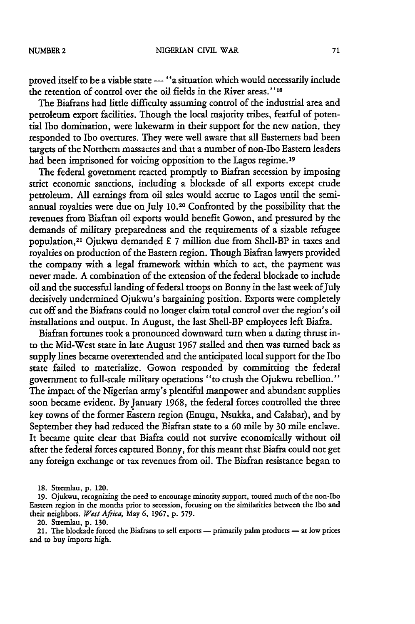proved itself to be a viable state - "a situation which would necessarily include the retention of control over the oil fields in the River areas."<sup>18</sup>

The Biafrans had little difficulty assuming control of the industrial area and petroleum export facilities. Though the local majority tribes, fearful of potential Ibo domination, were lukewarm in their support for the new nation, they responded to Ibo overtures. They were well aware that all Easterners had been targets of the Northern massacres and that a number of non-Ibo Eastern leaders had been imprisoned for voicing opposition to the Lagos regime.<sup>19</sup>

The federal government reacted promptly to Biafran secession by imposing strict economic sanctions, including a blockade of all exports except crude petroleum. All earnings from oil sales would accrue to Lagos until the semiannual royalties were due on July 10.20 Confronted by the possibility that the revenues from Biafran oil exports would benefit Gowon, and pressured by the demands of military preparedness and the requirements of a sizable refugee population,21 Ojukwu demanded £ 7 million due from Shell-BP in taxes and royalties on production of the Eastern region. Though Biafran lawyers provided the company with a legal framework within which to act, the payment was never made. A combination of the extension of the federal blockade to include oil and the successful landing of federal troops on Bonny in the last week of July decisively undermined Ojukwu's bargaining position. Exports were completely cut off and the Biafrans could no longer claim total control over the region's oil installations and output. In August, the last Shell-BP employees left Biafra.

Biafran fortunes took a pronounced downward turn when a daring thrust into the Mid-West state in late August 1967 stalled and then was turned back as supply lines became overextended and the anticipated local support for the Ibo state failed to materialize. Gowon responded by committing the federal government to full-scale military operations "to crush the Ojukwu rebellion." The impact of the Nigerian army's plentiful manpower and abundant supplies soon became evident. By January 1968, the federal forces controlled the three key towns of the former Eastern region (Enugu, Nsukka, and Calabar), and by September they had reduced the Biafran state to a **60** mile by 30 mile enclave. It became quite clear that Biafra could not survive economically without oil after the federal forces captured Bonny, for this meant that Biafra could not get any foreign exchange or tax revenues from oil. The Biafran resistance began to

20. Stremlau, p. 130.

21. The blockade forced the Biafrans to sell exports - primarily palm products - at low prices and to buy imports high.

<sup>18.</sup> Stremlau, p. 120.

**<sup>19.</sup>** Ojukwu, recognizing the need to encourage minority support, toured much of the non-Ibo Eastern region in the months prior to secession, focusing on the similarities between the Ibo and their neighbors. *West Africa,* May **6, 1967,** p. 579.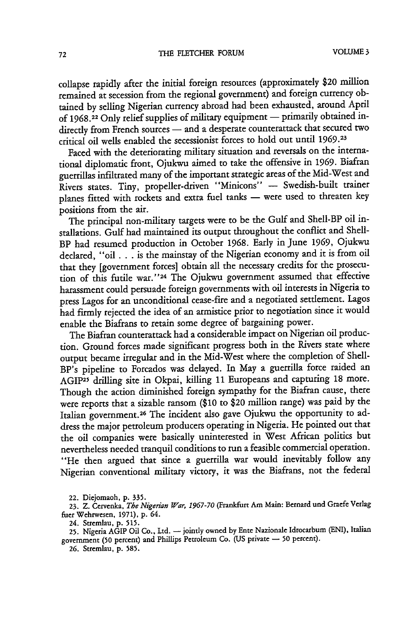collapse rapidly after the initial foreign resources (approximately \$20 million remained at secession from the regional government) and foreign currency obtained by selling Nigerian currency abroad had been exhausted, around April of 1968.<sup>22</sup> Only relief supplies of military equipment - primarily obtained indirectly from French sources - and a desperate counterattack that secured two critical oil wells enabled the secessionist forces to hold out until 1969.23

Faced with the deteriorating military situation and reversals on the international diplomatic front, Ojukwu aimed to take the offensive in 1969. Biafran guerrillas infiltrated many of the important strategic areas of the Mid-West and Rivers states. Tiny, propeller-driven "Minicons" **-** Swedish-built trainer planes fitted with rockets and extra fuel tanks **-** were used to threaten key positions from the air.

The principal non-military targets were to be the Gulf and Shell-BP oil installations. Gulf had maintained its output throughout the conflict and Shell-BP had resumed production in October 1968. Early in June 1969, Ojukwu declared, "oil **...** is the mainstay of the Nigerian economy and it is from oil that they [government forces] obtain all the necessary credits for the prosecution of this futile war."<sup>24</sup> The Ojukwu government assumed that effective harassment could persuade foreign governments with oil interests in Nigeria to press Lagos for an unconditional cease-fire and a negotiated settlement. Lagos had firmly rejected the idea of an armistice prior to negotiation since it would enable the Biafrans to retain some degree of bargaining power.

The Biafran counterattack had a considerable impact on Nigerian oil production. Ground forces made significant progress both in the Rivers state where output became irregular and in the Mid-West where the completion of Shell-BP's pipeline to Forcados was delayed. In May a guerrilla force raided an AGIP25 drilling site in Okpai, killing **11** Europeans and capturing **18** more. Though the action diminished foreign sympathy for the Biafran cause, there were reports that a sizable ransom (\$10 to \$20 million range) was paid by the Italian government. 26 The incident also gave Ojukwu the opportunity to address the major petroleum producers operating in Nigeria. He pointed out that the oil companies were basically uninterested in West African politics but nevertheless needed tranquil conditions to run a feasible commercial operation. "He then argued that since a guerrilla war would inevitably follow any Nigerian conventional military victory, it was the Biafrans, not the federal

22. Diejomaoh, p. 335.

23. Z. Cervenka, *The Nigerian War, 1967-70* (Frankfurt Am Main: Bernard und Graefe Verlag fier Wehrwesen, 1971), p. 64.

24. Stremlau, p. 515.

25. Nigeria AGIP Oil Co., Ltd. - jointly owned by Ente Nazionale Idrocarbum (ENI), Italian government (50 percent) and Phillips Petroleum Co. (US private - 50 percent).

**26.** Stremlau, p. 585.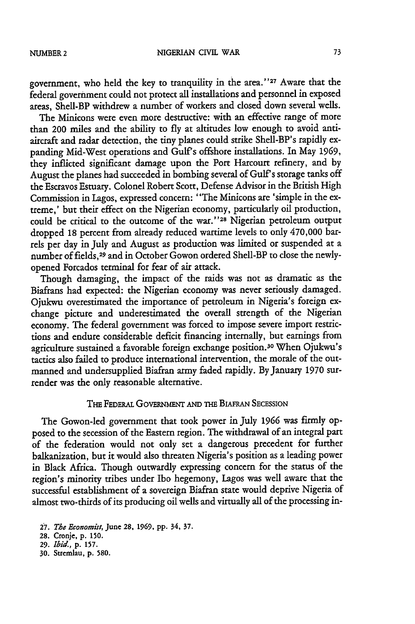government, who held the key to tranquility in the area."<sup>27</sup> Aware that the federal government could not protect all installations and personnel in exposed areas, Shell-BP withdrew a number of workers and dosed down several wells.

The Minicons were even more destructive: with an effective range of more than 200 miles and the ability to fly at altitudes low enough to avoid antiaircraft and radar detection, the tiny planes could strike Shell-BP's rapidly expanding Mid-West operations and Gulf's offshore installations. In May **1969,** they inflicted significant damage upon the Port Harcourt refinery, and by August the planes had succeeded in bombing several of Gulf's storage tanks off the Escravos Estuary. Colonel Robert Scott, Defense Advisor in the British High Commission in Lagos, expressed concern: "The Minicons are 'simple in the extreme,' but their effect on the Nigerian economy, particularly oil production, could be critical to the outcome of the **war.''28** Nigerian petroleum output dropped **18** percent from already reduced wartime levels to only 470,000 barrels per day in July and August as production was limited or suspended at a number of fields,29 and in October Gowon ordered Shell-BP to close the newlyopened Forcados terminal for fear of air attack.

Though damaging, the impact of the raids was not as dramatic as the Biafrans had expected: the Nigerian economy was never seriously damaged. Ojukwu overestimated the importance of petroleum in Nigeria's foreign exchange picture and underestimated the overall strength of the Nigerian economy. The federal government was forced to impose severe import restrictions and endure considerable deficit financing internally, but earnings from agriculture sustained a favorable foreign exchange position.30 When Ojukwu's tactics also failed to produce international intervention, the morale of the outmanned and undersupplied Biafran army faded rapidly. By January 1970 surrender was the only reasonable alternative.

# THE **FEDERAL** GovE **ENT AND** THE BuFMRN **SECESSION**

The Gowon-led government that took power in July 1966 was firmly opposed to the secession of the Eastern region. The withdrawal of an integral part of the federation would not only set a dangerous precedent for further balkanization, but it would also threaten Nigeria's position as a leading power in Black Africa. Though outwardly expressing concern for the status of the region's minority tribes under Ibo hegemony, Lagos was well aware that the successful establishment of a sovereign Biafran state would deprive Nigeria of almost two-thirds of its producing oil wells and virtually all of the processing in-

*27. The* Economist, June **28, 1969,** pp. 34, 37.

- **29.** *Ibid.,* p. **157.**
- **30.** Stremlau, p. **580.**

**<sup>28.</sup>** Cronje, p. **150.**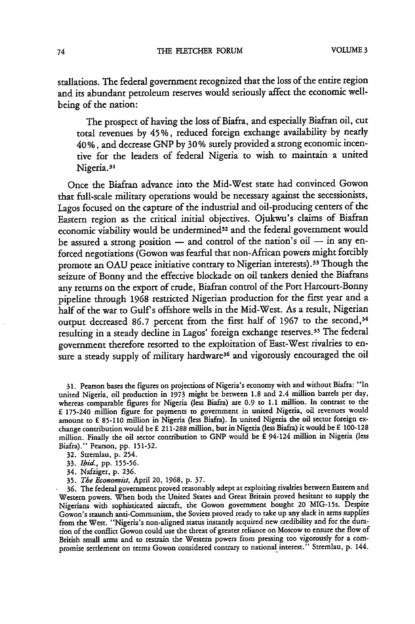stallations. The federal government recognized that the loss of the entire region and its abundant petroleum reserves would seriously affect the economic wellbeing of the nation:

The prospect of having the loss of Biafra, and especially Biafran oil, cut total revenues **by** 45%, reduced foreign exchange availability **by** nearly 40%, and decrease **GNP by 30%** surely provided a strong economic incentive for the leaders of federal Nigeria to wish to maintain a united Nigeria.<sup>31</sup>

Once the Biafran advance into the Mid-West state had convinced Gowon that full-scale military operations would be necessary against the secessionists, Lagos focused on the capture of the industrial and oil-producing centers of the Eastern region as the critical initial objectives. Ojukwu's claims of Biafran economic viability would be undermined<sup>32</sup> and the federal government would be assured a strong position **-** and control of the nation's oil **-** in any enforced negotiations (Gowon was fearful that non-African powers might forcibly promote an **OAU** peace initiative contrary to Nigerian interests). 33 Though the seizure of Bonny and the effective blockade on oil tankers denied the Biafrans any returns on the export of crude, Biafran control of the Port Harcourt-Bonny pipeline through **1968** restricted Nigerian production for the first year and a half of the war to Gulf s offshore wells in the Mid-West. As a result, Nigerian output decreased **86.7** percent from the first half of **1967** to the second, <sup>34</sup> resulting in a steady decline in Lagos' foreign exchange reserves.<sup>35</sup> The federa government therefore resorted to the exploitation of East-West rivalries to ensure a steady supply of military hardware<sup>36</sup> and vigorously encouraged the oil

31. Pearson bases the figures on projections of Nigeria's economy with and without Biafra: "In united Nigeria, oil production in 1973 might be between **1.8** and 2.4 million barrels per day, whereas comparable figures for Nigeria (less Biafra) are **0.9** to 1.1 million. In contrast to the £ 175-240 million figure for payments to government in united Nigeria, oil revenues would amount to £ 85-110 million in Nigeria (less Biafra). In united Nigeria the oil sector foreign exchange contribution would be £ 2 11-288 million, but in Nigeria (less Biafra) it would be £ 100-128 million. Finally the oil sector contribution to **GNP** would be £ 94-124 million in Nigeria (less Biafra)." Pearson, pp. 151-52.

32. Stremlau, p. 254.

33. *Ibid.,* pp. **155-56.**

34. Nafziger, p. 236.

35. *The Economist,* April 20, **1968,** p. 37.

**36.** The federal government proved reasonably adept at exploiting rivalries between Eastern and Western powers. When both the United States and Great Britain proved hesitant to supply the Nigerians with sophisticated aircraft, the Gowon government bought 20 MIG-15s. Despite Gowon's staunch anti-Communism, the Soviets proved ready to take up any slack in arms supplies from the West. "Nigeria's non-aligned status instantly acquired new credibility and for the duration of the conflict Gowon could use the threat of greater reliance on Moscow to ensure the flow of British small arms and to restrain the Western powers from pressing too vigorously for a compromise settlement on terms Gowon considered contrary to national interest." Stremlau, p. 144.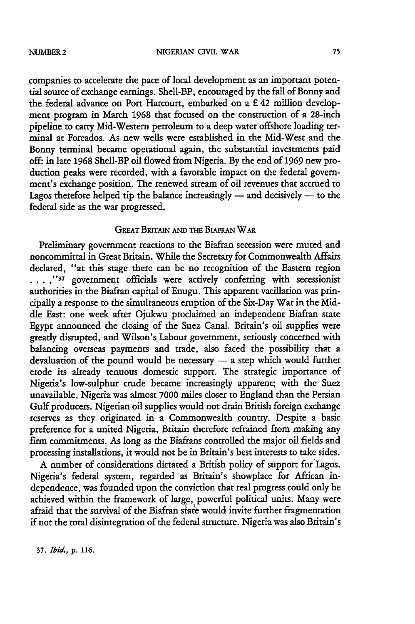companies to accelerate the pace of local development as an important potential source of exchange earnings. Shell-BP, encouraged by the fall of Bonny and the federal advance on Port Harcourt, embarked on a £ 42 million development program in March **1968** that focused on the construction of a 28-inch pipeline to carry Mid-Western petroleum to a deep water offshore loading terminal at Forcados. As new wells were established in the Mid-West and the Bonny terminal became operational again, the substantial investments paid **off:** in late **1968** Shell-BP oil flowed from Nigeria. By the end of 1969 new production peaks were recorded, with a favorable impact on the federal government's exchange position. The renewed stream of oil revenues that accrued to Lagos therefore helped tip the balance increasingly  $-$  and decisively  $-$  to the federal side as the war progressed.

# **GREAT BRITAIN AND THE BIAFRAN WAR**

Preliminary government reactions to the Biafran secession were muted and noncommittal in Great Britain. While the Secretary for Commonwealth Affairs declared, "at this stage there can be no recognition of the Eastern region **... ,"37** government officials were actively conferring with secessionist authorities in the Biafian capital of Enugu. This apparent vacillation was principally a response to the simultaneous eruption of the Six-Day War in the Middle East: one week after Ojukwu proclaimed an independent Biafran state Egypt announced the dosing of the Suez Canal. Britain's oil supplies were greatly disrupted, and Wilson's Labour government, seriously concerned with balancing overseas payments and trade, also faced the possibility that a  $devaluation of the pound would be necessary — a step which would further$ erode its already tenuous domestic support. The strategic importance of Nigeria's low-sulphur crude became increasingly apparent; with the Suez unavailable, Nigeria was almost **7000** miles closer to England than the Persian Gulf producers. Nigerian oil supplies would not drain British foreign exchange reserves as they originated in a Commonwealth country. Despite a basic preference for a united Nigeria, Britain therefore refrained from making any firm commitments. As long as the Biafrans controlled the major oil fields and processing installations, it would not be in Britain's best interests to take sides.

A number of considerations dictated a British policy of support for'Lagos. Nigeria's federal system, regarded as Britain's showplace for African independence, was founded upon the conviction that real progress could only be achieved within the framework of large, powerful political units. Many were afraid that the survival of the Biafran state would invite further fragmentation if not the total disintegration of the federal structure. Nigeria was also Britain's

**37.** *Ibid.,* **p.** 116.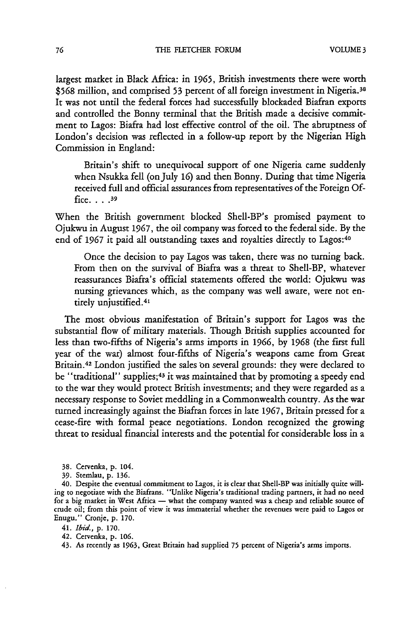largest market in Black Africa: in **1965,** British investments there were worth **\$568** million, and comprised 53 percent of all foreign investment in Nigeria.38 It was not until the federal forces had successfully blockaded Biafran exports and controlled the Bonny terminal that the British made a decisive commitment to Lagos: Biafra had lost effective control of the oil. The abruptness of London's decision was reflected in a follow-up report by the Nigerian High Commission in England:

Britain's shift to unequivocal support of one Nigeria came suddenly when Nsukka fell (onJuly **16)** and then Bonny. During that time Nigeria received full and official assurances from representatives of the Foreign Office **....** <sup>39</sup>

When the British government blocked Shell-BP's promised payment to Ojukwu in August 1967, the oil company was forced to the federal side. By the end of 1967 it paid all outstanding taxes and royalties directly to Lagos:40

Once the decision to pay Lagos was taken, there was no turning back. From then on the survival of Biafra was a threat to Shell-BP, whatever reassurances Biafra's official statements offered the world: Ojukwu was nursing grievances which, as the company was well aware, were not entirely unjustified. <sup>41</sup>

The most obvious manifestation of Britain's support for Lagos was the substantial flow of military materials. Though British supplies accounted for less than two-fifths of Nigeria's arms imports in **1966,** by 1968 (the first full year of the war) almost four-fifths of Nigeria's weapons came from Great Britain.42 London justified the sales bn several grounds: they were declared to be "traditional" supplies; 43 it was maintained that by promoting a speedy end to the war they would protect British investments; and they were regarded as a necessary response to Soviet meddling in a Commonwealth country. As the war turned increasingly against the Biafran forces in late 1967, Britain pressed for a cease-fire with formal peace negotiations. London recognized the growing threat to residual financial interests and the potential for considerable loss in a

**38.** Cervenka, **p.** 104.

*39.* Stemlau, **p.** 136.

40. Despite the eventual commitment to Lagos, it is clear that Shell-BP was initially quite willing to negotiate with the Biafrans. "Unlike Nigeria's traditional trading partners, it had no need for a big market in West Africa - what the company wanted was a cheap and reliable source of crude oil; from this point of view it was immaterial whether the revenues were paid to Lagos or Enugu." Cronje, **p. 170.**

41. *Ibid.,* **p. 170.**

42. Cervenka, **p. 106.**

43. As recently as **1963,** Great Britain had supplied 75 percent of Nigeria's arms imports.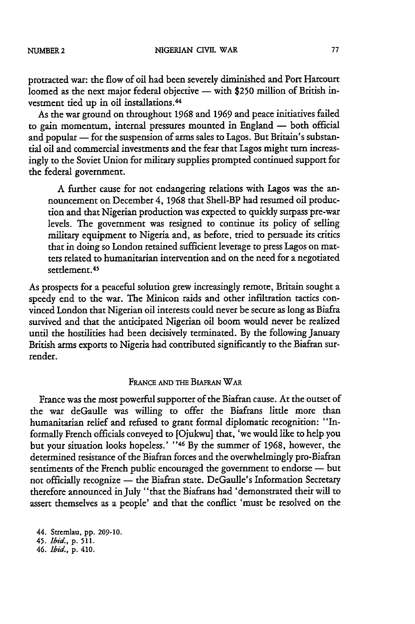protracted war: the flow of oil had been severely diminished and Port Harcourt loomed as the next major federal objective  $-$  with \$250 million of British investment tied up in oil installations. <sup>44</sup>

As the war ground on throughout 1968 and 1969 and peace initiatives failed to gain momentum, internal pressures mounted in England - both official and popular - for the suspension of arms sales to Lagos. But Britain's substantial oil and commercial investments and the fear that Lagos might turn increasingly to the Soviet Union for military supplies prompted continued support for the federal government.

A further cause for not endangering relations with Lagos was the announcement on December 4, 1968 that Shell-BP had resumed oil production and that Nigerian production was expected to quickly surpass pre-war levels. The government was resigned to continue its policy of selling military equipment to Nigeria and, as before, tried to persuade its critics that in doing so London retained sufficient leverage to press Lagos on matters related to humanitarian intervention and on the need for a negotiated settlement.<sup>45</sup>

As prospects for a peaceful solution grew increasingly remote, Britain sought a speedy end to the war. The Minicon raids and other infiltration tactics convinced London that Nigerian oil interests could never be secure as long as Biafra survived and that the anticipated Nigerian oil boom would never be realized until the hostilities had been decisively terminated. By the following January British arms exports to Nigeria had contributed significantly to the Biafran surrender.

# FRANCE AND THE BIAFRAN WAR

France was the most powerful supporter of the Biafran cause. At the outset of the war deGaulle was willing to offer the Biafrans little more than humanitarian relief and refused to grant formal diplomatic recognition: "Informally French officials conveyed to [Ojukwu] that, 'we would like to help you but your situation looks hopeless.' **"46** By the summer of 1968, however, the determined resistance of the Biafran forces and the overwhelmingly pro-Biafran sentiments of the French public encouraged the government to endorse — but not officially recognize — the Biafran state. DeGaulle's Information Secretary therefore announced in July "that the Biafrans had 'demonstrated their will to assert themselves as a people' and that the conflict 'must be resolved on the

*44.* Stremlau, **pp. 209-10.**

45. *Ibid.,* **p. 511.**

*46. Ibid.,* **p. 410.**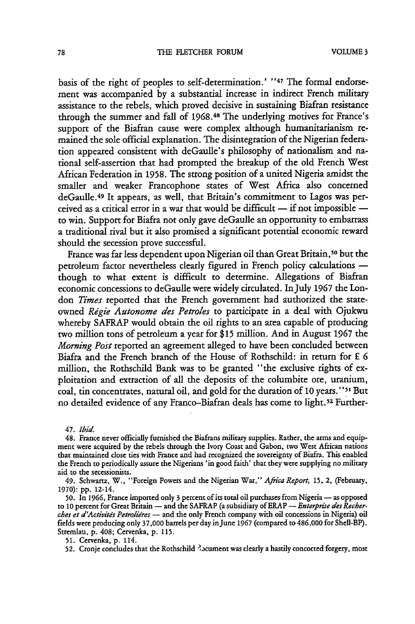basis of the right of peoples to self-determination.' "47 The formal endorsement was accompanied by a substantial increase in indirect French military assistance to the rebels, which proved decisive in sustaining Biafran resistance through the summer and fall of 1968.48 The underlying motives for France's support of the Biafran cause were complex although humanitarianism remained the sole official explanation. The disintegration of the Nigerian federation appeared consistent with deGaulle's philosophy of nationalism and national self-assertion that had prompted the breakup of the old French West African Federation in 1958. The strong position of a united Nigeria amidst the smaller and weaker Francophone states of West Africa also concerned deGaulle. 49 It appears, as well, that Britain's commitment to Lagos was perceived as a critical error in a war that would be difficult  $-$  if not impossible  $$ to win. Support for Biafra not only gave deGaulle an opportunity to embarrass a traditional rival but it also promised a significant potential economic reward should the secession prove successful.

France was far less dependent upon Nigerian oil than Great Britain,<sup>50</sup> but the petroleum factor nevertheless clearly figured in French policy calculations though to what extent is difficult to determine. Allegations of Biafran economic concessions to deGaulle were widely circulated. InJuly **1967** the London *Times* reported that the French government had authorized the stateowned *Rigie Autonome des Petroles* to participate in a deal with Ojukwu whereby SAFRAP would obtain the oil rights to an area capable of producing two million tons of petroleum a year for **\$15** million. And in August **1967** the *Morning Post* reported an agreement alleged to have been concluded between Biafra and the French branch of the House of Rothschild: in return for £ **6** million, the Rothschild Bank was to be granted "the exclusive rights of exploitation and extraction of all the deposits of the columbite ore, uranium, coal, tin concentrates, natural oil, and gold for the duration of **10** years." **51** But no detailed evidence of any Franco-Biafran deals has come to light.<sup>52</sup> Further-

**47.** *Ibid.*

48. France never officially furnished the Biafrans military supplies. Rather, the arms and equipment were acquired by the rebels through the Ivory Coast and Gabon, two West African nations that maintained close ties with France and had recognized the sovereignty of Biafra. This enabled the French to periodically assure the Nigerians 'in good faith' that they were supplying no military aid to the secessionists.

49. Schwartz, W., "Foreign Powers and the Nigerian War," *Afiica Report,* **15,** 2, (February, **1970):** pp. 12-14.

50. In 1966, France imported only 3 percent of its total oil purchases from Nigeria - as opposed to 10 percent for Great Britain - and the SAFRAP (a subsidiary of ERAP - *Enterprise des Recher*ches et d'Activités Petroliéres - and the only French company with oil concessions in Nigeria) oil fields were producing only **37,000** barrels per day inJune **1967** (compared to 486,000 for Shell-BP). Stremlau, p. 408; Cervenka, p. 115.

51. Cervenka, p. 114.

52. Cronje concludes that the Rothschild <sup>3</sup> scument was clearly a hastily concocted forgery, most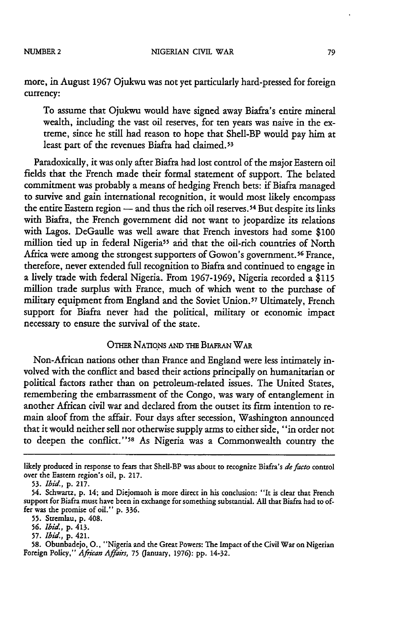more, in August **1967** Ojukwu was not yet particularly hard-pressed for foreign currency:

To assume that Ojukwu would have signed away Biafra's entire mineral wealth, including the vast oil reserves, for ten years was naive in the extreme, since he still had reason to hope that Shell-BP would pay him at least part of the revenues Biafra had claimed.<sup>53</sup>

Paradoxically, it was only after Biafra had lost control of the major Eastern oil fields that the French made their formal statement of support. The belated commitment was probably a means of hedging French bets: if Biafra managed to survive and gain international recognition, it would most likely encompass the entire Eastern region  $-$  and thus the rich oil reserves.<sup>54</sup> But despite its links with Biafra, the French government did not want to jeopardize its relations with Lagos. DeGaulle was well aware that French investors had some **\$100** million tied up in federal Nigeria<sup>55</sup> and that the oil-rich countries of North Africa were among the strongest supporters of Gowon's government.<sup>56</sup> France, therefore, never extended full recognition to Biafra and continued to engage in a lively trade with federal Nigeria. From 1967-1969, Nigeria recorded a \$115 million trade surplus with France, much of which went to the purchase of military equipment from England and the Soviet Union.57 Ultimately, French support for Biafra never had the political, military or economic impact necessary to ensure the survival of the state.

# OTHER NATIONS AND THE BIAFRAN WAR

Non-African nations other than France and England were less intimately involved with the conflict and based their actions principally on humanitarian or political factors rather than on petroleum-related issues. The United States, remembering the embarrassment of the Congo, was wary of entanglement in another African civil war and declared from the outset its **firm** intention to remain aloof from the affair. Four days after secession, Washington announced that it would neither sell nor otherwise supply arms to either side, "in order not to deepen the conflict."<sup>58</sup> As Nigeria was a Commonwealth country the

- **55.** Stremlau, **p.** 408.
- **56.** *Ibid.,* **p.** 413.
- **57.** *Ibid.,* **p.** 421.

**likely** produced in response to **fears** that Shell-BP was about to recognize Biafra's *defacto* control over the Eastern region's oil, **p. 217.**

**<sup>53.</sup>** *Ibid.,* **p. 217.**

<sup>54.</sup> Schwartz, **p.** 14; and Diejomaoh is more direct in his conclusion: "It is clear that French support for Biafra must have been in exchange for something substantial. **All** that Biafra had to offer was the promise of oil." **p.** 336.

**<sup>58.</sup>** Obunbadejo, **0.,** "Nigeria and the Great Powers: **The** Impact of the Civil War on Nigerian Foreign Policy," *African Affairs,* **75** (January, 1976): **pp.** 14-32.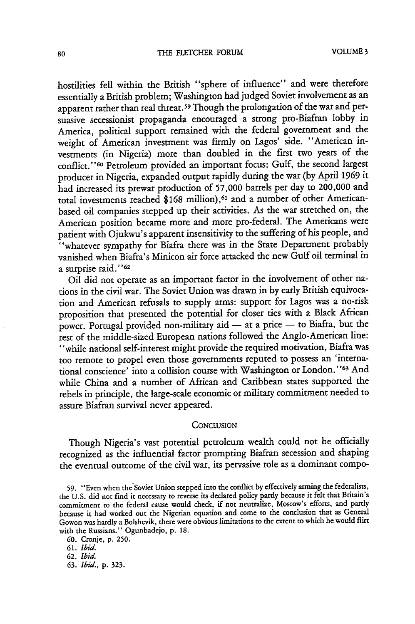hostilities fell within the British "sphere of influence" and were therefore essentially a British problem; Washington had judged Soviet involvement as an apparent rather than real threat.<sup>59</sup> Though the prolongation of the war and persuasive secessionist propaganda encouraged a strong pro-Biafran lobby in America, political support remained with the federal government and the weight of American investment was firmly on Lagos' side. "American investments (in Nigeria) more than doubled in the first two years of the conflict. **"60** Petroleum provided an important focus: Gulf, the second largest producer in Nigeria, expanded output rapidly during the war (by April 1969 it had increased its prewar production of 57,000 barrels per day to 200,000 and total investments reached \$168 million),<sup>61</sup> and a number of other Americanbased oil companies stepped up their activities. As the war stretched on, the American position became more and more pro-federal. The Americans were patient with Ojukwu's apparent insensitivity to the suffering of his people, and "whatever sympathy for Biafra there was in the State Department probably vanished when Biafra's Minicon air force attacked the new Gulf oil terminal in a surprise raid."<sup>62</sup>

Oil did not operate as an important factor in the involvement of other nations in the civil war. The Soviet Union was drawn in by early British equivocation and American refusals to supply arms: support for Lagos was a no-risk proposition that presented the potential for closer ties with a Black African power. Portugal provided non-military aid  $-$  at a price  $-$  to Biafra, but the rest of the middle-sized European nations followed the Anglo-American line: "while national self-interest might provide the required motivation, Biafra was too remote to propel even those governments reputed to possess an 'international conscience' into a collision course with Washington or London."<sup>63</sup> And while China and a number of African and Caribbean states supported the rebels in principle, the large-scale economic or military commitment needed to assure Biafran survival never appeared.

### **CONCLUSION**

Though Nigeria's vast potential petroleum wealth could not be officially recognized as the influential factor prompting Biafran secession and shaping the eventual outcome of the civil war, its pervasive role as a dominant compo-

59. "Even when the Soviet Union stepped into the conflict by effectively arming the federalists, the U.S. did not find it necessary to reverse its declared policy partly because it felt that Britain's commitment to the federal cause would check, if not neutralize, Moscow's efforts, and partly because it had worked out the Nigerian equation and come to the conclusion that as General Gowon was hardly a Bolshevik, there were obvious limitations to the extent to which he would flirt with the Russians." Ogunbadejo, p. **18.**

**<sup>60.</sup>** Cronje, p. **250.**

**<sup>61.</sup>** *Ibid.*

**<sup>62.</sup>** Ibid.

**<sup>63.</sup>** Ibid., p. 323.